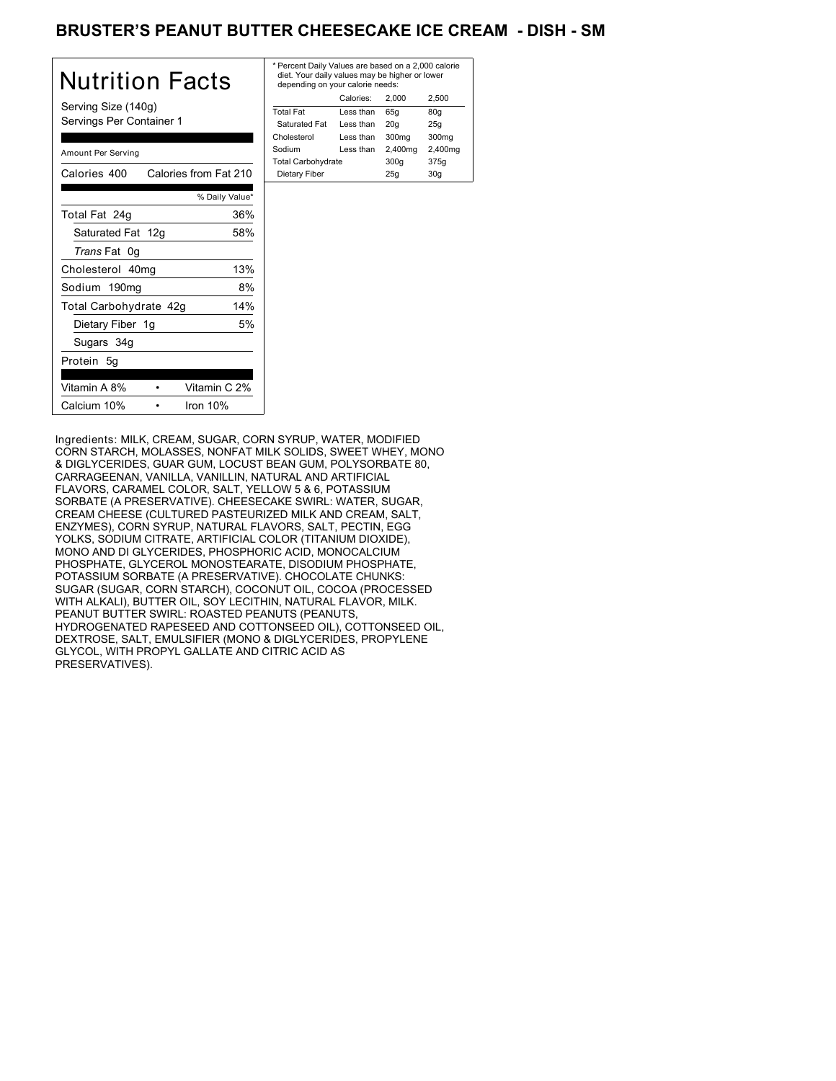## BRUSTER'S PEANUT BUTTER CHEESECAKE ICE CREAM - DISH - SM

| Nutrition Facts                                 | * Perd<br>diet.<br>dep |
|-------------------------------------------------|------------------------|
| Serving Size (140g)<br>Servings Per Container 1 | Total<br>Satu<br>Chole |
| Amount Per Serving                              | Sodiu<br>Total         |
| Calories from Fat 210<br>Calories 400           | Dieta                  |
| % Daily Value*                                  |                        |
| Total Fat 24g<br>36%                            |                        |
| Saturated Fat 12g<br>58%                        |                        |
| Trans Fat 0g                                    |                        |
| 13%<br>Cholesterol 40mg                         |                        |
| Sodium 190mg<br>8%                              |                        |
| 14%<br>Total Carbohydrate 42g                   |                        |
| 5%<br>Dietary Fiber 1g                          |                        |
| Sugars 34g                                      |                        |
| Protein 5g                                      |                        |
| Vitamin A 8%<br>Vitamin C 2%                    |                        |
| Calcium 10%<br>Iron $10%$                       |                        |

| Calories:<br>2.500<br>2.000<br><b>Total Fat</b><br>Less than<br>65q<br>80q<br>Saturated Fat<br>Less than<br>20q<br>25q<br>300mg<br>Cholesterol<br>300 <sub>mq</sub><br>Less than |
|----------------------------------------------------------------------------------------------------------------------------------------------------------------------------------|
|                                                                                                                                                                                  |
|                                                                                                                                                                                  |
|                                                                                                                                                                                  |
|                                                                                                                                                                                  |
| 2,400mg<br>2,400mg<br>Sodium<br>Less than                                                                                                                                        |
| <b>Total Carbohydrate</b><br>300q<br>375g                                                                                                                                        |
| Dietary Fiber<br>25q<br>30q                                                                                                                                                      |

Ingredients: MILK, CREAM, SUGAR, CORN SYRUP, WATER, MODIFIED CORN STARCH, MOLASSES, NONFAT MILK SOLIDS, SWEET WHEY, MONO & DIGLYCERIDES, GUAR GUM, LOCUST BEAN GUM, POLYSORBATE 80, CARRAGEENAN, VANILLA, VANILLIN, NATURAL AND ARTIFICIAL FLAVORS, CARAMEL COLOR, SALT, YELLOW 5 & 6, POTASSIUM SORBATE (A PRESERVATIVE). CHEESECAKE SWIRL: WATER, SUGAR, CREAM CHEESE (CULTURED PASTEURIZED MILK AND CREAM, SALT, ENZYMES), CORN SYRUP, NATURAL FLAVORS, SALT, PECTIN, EGG YOLKS, SODIUM CITRATE, ARTIFICIAL COLOR (TITANIUM DIOXIDE), MONO AND DI GLYCERIDES, PHOSPHORIC ACID, MONOCALCIUM PHOSPHATE, GLYCEROL MONOSTEARATE, DISODIUM PHOSPHATE, POTASSIUM SORBATE (A PRESERVATIVE). CHOCOLATE CHUNKS: SUGAR (SUGAR, CORN STARCH), COCONUT OIL, COCOA (PROCESSED WITH ALKALI), BUTTER OIL, SOY LECITHIN, NATURAL FLAVOR, MILK. PEANUT BUTTER SWIRL: ROASTED PEANUTS (PEANUTS, HYDROGENATED RAPESEED AND COTTONSEED OIL), COTTONSEED OIL, DEXTROSE, SALT, EMULSIFIER (MONO & DIGLYCERIDES, PROPYLENE GLYCOL, WITH PROPYL GALLATE AND CITRIC ACID AS PRESERVATIVES).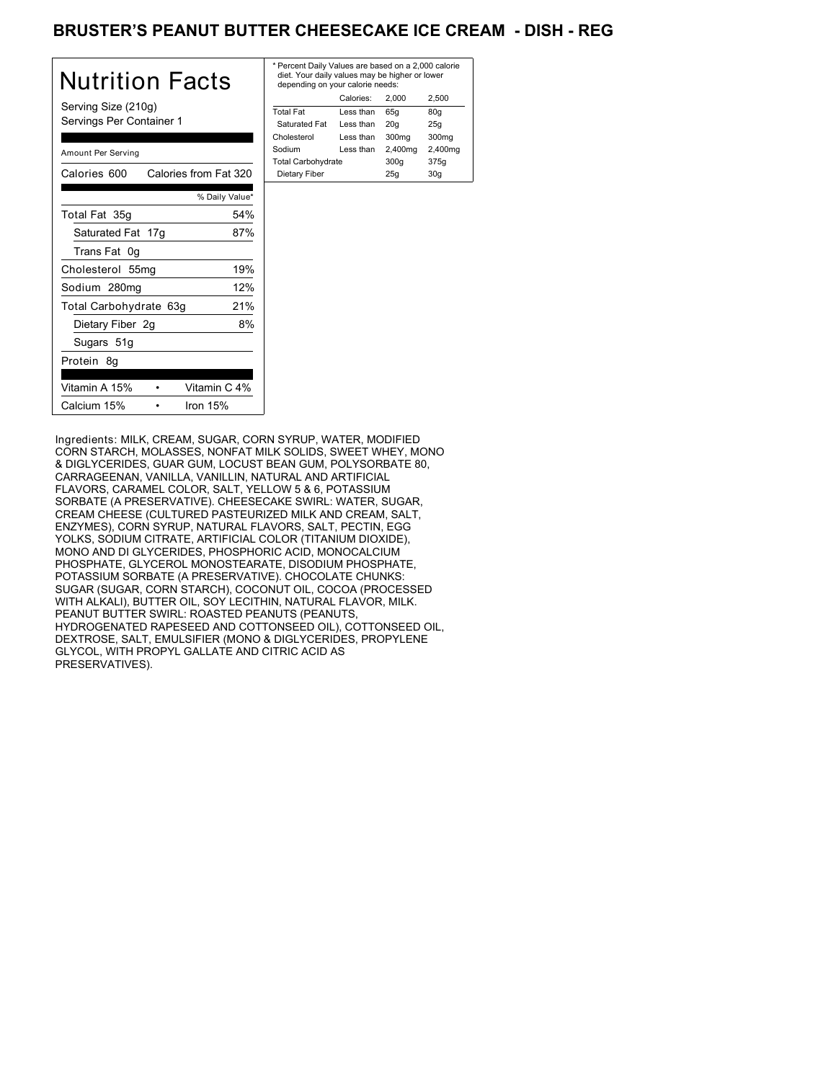# BRUSTER'S PEANUT BUTTER CHEESECAKE ICE CREAM - DISH - REG

| Nutrition Facts                                 | * Perce<br>diet.<br>depe    |
|-------------------------------------------------|-----------------------------|
| Serving Size (210g)<br>Servings Per Container 1 | <b>Total F</b><br>Satur     |
| Amount Per Serving                              | Choles<br>Sodiur<br>Total C |
| Calories 600<br>Calories from Fat 320           | Dieta                       |
| % Daily Value*                                  |                             |
| Total Fat 35g<br>54%                            |                             |
| Saturated Fat 17g<br>87%                        |                             |
| Trans Fat 0g                                    |                             |
| 19%<br>Cholesterol 55mg                         |                             |
| 12%<br>Sodium 280mg                             |                             |
| 21%<br>Total Carbohydrate 63g                   |                             |
| 8%<br>Dietary Fiber 2g                          |                             |
| Sugars 51g                                      |                             |
| Protein 8g                                      |                             |
| Vitamin A 15%<br>Vitamin C 4%                   |                             |
| Calcium 15%<br>Iron $15%$                       |                             |

| * Percent Daily Values are based on a 2,000 calorie<br>diet. Your daily values may be higher or lower<br>depending on your calorie needs: |           |         |         |
|-------------------------------------------------------------------------------------------------------------------------------------------|-----------|---------|---------|
|                                                                                                                                           | Calories: | 2.000   | 2.500   |
| <b>Total Fat</b>                                                                                                                          | Less than | 65q     | 80g     |
| Saturated Fat                                                                                                                             | Less than | 20q     | 25q     |
| Cholesterol                                                                                                                               | Less than | 300mg   | 300mg   |
| Sodium                                                                                                                                    | Less than | 2,400mg | 2,400mg |
| <b>Total Carbohydrate</b>                                                                                                                 |           | 300q    | 375g    |
| Dietary Fiber                                                                                                                             |           | 25q     | 30q     |
|                                                                                                                                           |           |         |         |

Ingredients: MILK, CREAM, SUGAR, CORN SYRUP, WATER, MODIFIED CORN STARCH, MOLASSES, NONFAT MILK SOLIDS, SWEET WHEY, MONO & DIGLYCERIDES, GUAR GUM, LOCUST BEAN GUM, POLYSORBATE 80, CARRAGEENAN, VANILLA, VANILLIN, NATURAL AND ARTIFICIAL FLAVORS, CARAMEL COLOR, SALT, YELLOW 5 & 6, POTASSIUM SORBATE (A PRESERVATIVE). CHEESECAKE SWIRL: WATER, SUGAR, CREAM CHEESE (CULTURED PASTEURIZED MILK AND CREAM, SALT, ENZYMES), CORN SYRUP, NATURAL FLAVORS, SALT, PECTIN, EGG YOLKS, SODIUM CITRATE, ARTIFICIAL COLOR (TITANIUM DIOXIDE), MONO AND DI GLYCERIDES, PHOSPHORIC ACID, MONOCALCIUM PHOSPHATE, GLYCEROL MONOSTEARATE, DISODIUM PHOSPHATE, POTASSIUM SORBATE (A PRESERVATIVE). CHOCOLATE CHUNKS: SUGAR (SUGAR, CORN STARCH), COCONUT OIL, COCOA (PROCESSED WITH ALKALI), BUTTER OIL, SOY LECITHIN, NATURAL FLAVOR, MILK. PEANUT BUTTER SWIRL: ROASTED PEANUTS (PEANUTS, HYDROGENATED RAPESEED AND COTTONSEED OIL), COTTONSEED OIL, DEXTROSE, SALT, EMULSIFIER (MONO & DIGLYCERIDES, PROPYLENE GLYCOL, WITH PROPYL GALLATE AND CITRIC ACID AS PRESERVATIVES).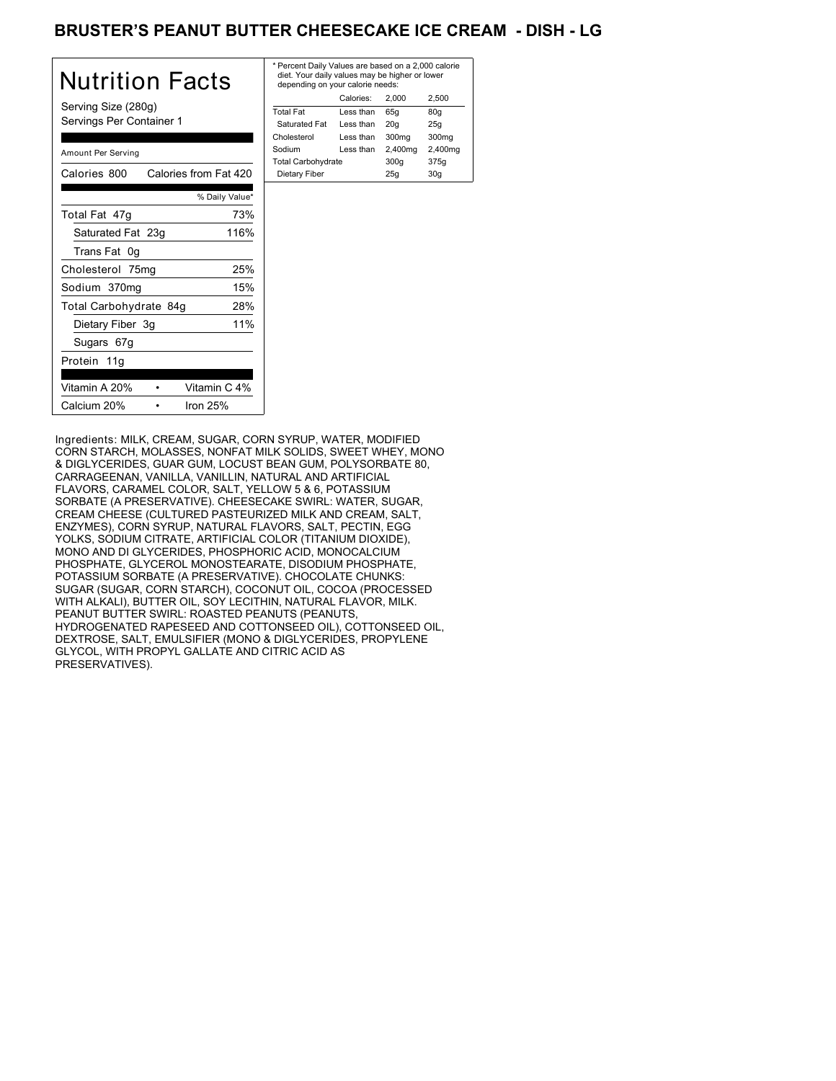# BRUSTER'S PEANUT BUTTER CHEESECAKE ICE CREAM - DISH - LG

| <b>Nutrition Facts</b>                          | * Per<br>diet<br>der |
|-------------------------------------------------|----------------------|
| Serving Size (280g)<br>Servings Per Container 1 | Total<br>Sat<br>Chol |
| Amount Per Serving                              | Sodi<br>Total        |
| Calories from Fat 420<br>Calories 800           | Die                  |
| % Daily Value*                                  |                      |
| Total Fat 47g<br>73%                            |                      |
| 116%<br>Saturated Fat 23g                       |                      |
| Trans Fat 0g                                    |                      |
| 25%<br>Cholesterol 75mg                         |                      |
| Sodium 370mg<br>15%                             |                      |
| 28%<br>Total Carbohydrate 84g                   |                      |
| 11%<br>Dietary Fiber 3g                         |                      |
| Sugars 67g                                      |                      |
| Protein 11g                                     |                      |
| Vitamin A 20%<br>Vitamin C 4%                   |                      |
| Calcium 20%<br>Iron $25%$                       |                      |

| * Percent Daily Values are based on a 2,000 calorie<br>diet. Your daily values may be higher or lower<br>depending on your calorie needs: |           |         |         |
|-------------------------------------------------------------------------------------------------------------------------------------------|-----------|---------|---------|
|                                                                                                                                           | Calories: | 2.000   | 2.500   |
| <b>Total Fat</b>                                                                                                                          | Less than | 65q     | 80q     |
| Saturated Fat                                                                                                                             | Less than | 20q     | 25q     |
| Cholesterol                                                                                                                               | Less than | 300mg   | 300mg   |
| Sodium                                                                                                                                    | Less than | 2,400mg | 2,400mg |
| <b>Total Carbohydrate</b>                                                                                                                 |           | 300q    | 375g    |
| Dietary Fiber                                                                                                                             |           | 25q     | 30q     |
|                                                                                                                                           |           |         |         |

Ingredients: MILK, CREAM, SUGAR, CORN SYRUP, WATER, MODIFIED CORN STARCH, MOLASSES, NONFAT MILK SOLIDS, SWEET WHEY, MONO & DIGLYCERIDES, GUAR GUM, LOCUST BEAN GUM, POLYSORBATE 80, CARRAGEENAN, VANILLA, VANILLIN, NATURAL AND ARTIFICIAL FLAVORS, CARAMEL COLOR, SALT, YELLOW 5 & 6, POTASSIUM SORBATE (A PRESERVATIVE). CHEESECAKE SWIRL: WATER, SUGAR, CREAM CHEESE (CULTURED PASTEURIZED MILK AND CREAM, SALT, ENZYMES), CORN SYRUP, NATURAL FLAVORS, SALT, PECTIN, EGG YOLKS, SODIUM CITRATE, ARTIFICIAL COLOR (TITANIUM DIOXIDE), MONO AND DI GLYCERIDES, PHOSPHORIC ACID, MONOCALCIUM PHOSPHATE, GLYCEROL MONOSTEARATE, DISODIUM PHOSPHATE, POTASSIUM SORBATE (A PRESERVATIVE). CHOCOLATE CHUNKS: SUGAR (SUGAR, CORN STARCH), COCONUT OIL, COCOA (PROCESSED WITH ALKALI), BUTTER OIL, SOY LECITHIN, NATURAL FLAVOR, MILK. PEANUT BUTTER SWIRL: ROASTED PEANUTS (PEANUTS, HYDROGENATED RAPESEED AND COTTONSEED OIL), COTTONSEED OIL, DEXTROSE, SALT, EMULSIFIER (MONO & DIGLYCERIDES, PROPYLENE GLYCOL, WITH PROPYL GALLATE AND CITRIC ACID AS PRESERVATIVES).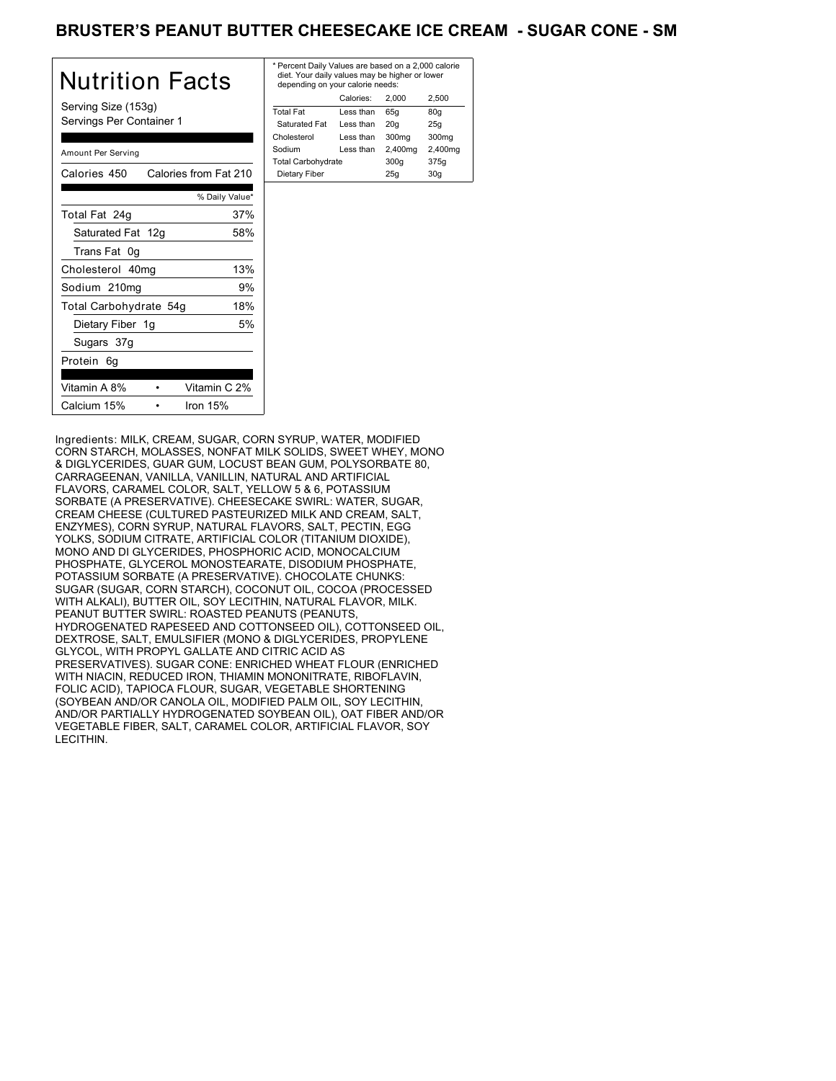## BRUSTER'S PEANUT BUTTER CHEESECAKE ICE CREAM - SUGAR CONE - SM

| Nutrition Facts                                 | * Per<br>die<br>der |
|-------------------------------------------------|---------------------|
| Serving Size (153g)<br>Servings Per Container 1 | Tota<br>Sat<br>Chol |
| Amount Per Serving                              | Sodi<br>Tota        |
| Calories from Fat 210<br>Calories 450           | Die                 |
| % Daily Value*                                  |                     |
| 37%<br>Total Fat 24q                            |                     |
| Saturated Fat 12g<br>58%                        |                     |
| Trans Fat 0g                                    |                     |
| 13%<br>Cholesterol 40mg                         |                     |
| 9%<br>Sodium 210mg                              |                     |
| 18%<br>Total Carbohydrate 54g                   |                     |
| Dietary Fiber 1g<br>5%                          |                     |
| Sugars 37g                                      |                     |
| Protein 6q                                      |                     |
| Vitamin A 8%<br>Vitamin C 2%                    |                     |
| Calcium 15%<br>Iron $15%$                       |                     |

| * Percent Daily Values are based on a 2,000 calorie<br>diet. Your daily values may be higher or lower<br>depending on your calorie needs: |           |         |         |
|-------------------------------------------------------------------------------------------------------------------------------------------|-----------|---------|---------|
|                                                                                                                                           | Calories: | 2.000   | 2.500   |
| <b>Total Fat</b>                                                                                                                          | Less than | 65q     | 80q     |
| Saturated Fat                                                                                                                             | Less than | 20q     | 25q     |
| Cholesterol                                                                                                                               | Less than | 300mg   | 300mg   |
| Sodium                                                                                                                                    | Less than | 2,400mg | 2,400mg |
| <b>Total Carbohydrate</b>                                                                                                                 |           | 300q    | 375g    |
| Dietary Fiber                                                                                                                             |           | 25q     | 30q     |
|                                                                                                                                           |           |         |         |

Ingredients: MILK, CREAM, SUGAR, CORN SYRUP, WATER, MODIFIED CORN STARCH, MOLASSES, NONFAT MILK SOLIDS, SWEET WHEY, MONO & DIGLYCERIDES, GUAR GUM, LOCUST BEAN GUM, POLYSORBATE 80, CARRAGEENAN, VANILLA, VANILLIN, NATURAL AND ARTIFICIAL FLAVORS, CARAMEL COLOR, SALT, YELLOW 5 & 6, POTASSIUM SORBATE (A PRESERVATIVE). CHEESECAKE SWIRL: WATER, SUGAR, CREAM CHEESE (CULTURED PASTEURIZED MILK AND CREAM, SALT, ENZYMES), CORN SYRUP, NATURAL FLAVORS, SALT, PECTIN, EGG YOLKS, SODIUM CITRATE, ARTIFICIAL COLOR (TITANIUM DIOXIDE), MONO AND DI GLYCERIDES, PHOSPHORIC ACID, MONOCALCIUM PHOSPHATE, GLYCEROL MONOSTEARATE, DISODIUM PHOSPHATE, POTASSIUM SORBATE (A PRESERVATIVE). CHOCOLATE CHUNKS: SUGAR (SUGAR, CORN STARCH), COCONUT OIL, COCOA (PROCESSED WITH ALKALI), BUTTER OIL, SOY LECITHIN, NATURAL FLAVOR, MILK. PEANUT BUTTER SWIRL: ROASTED PEANUTS (PEANUTS, HYDROGENATED RAPESEED AND COTTONSEED OIL), COTTONSEED OIL, DEXTROSE, SALT, EMULSIFIER (MONO & DIGLYCERIDES, PROPYLENE GLYCOL, WITH PROPYL GALLATE AND CITRIC ACID AS PRESERVATIVES). SUGAR CONE: ENRICHED WHEAT FLOUR (ENRICHED WITH NIACIN, REDUCED IRON, THIAMIN MONONITRATE, RIBOFLAVIN, FOLIC ACID), TAPIOCA FLOUR, SUGAR, VEGETABLE SHORTENING (SOYBEAN AND/OR CANOLA OIL, MODIFIED PALM OIL, SOY LECITHIN, AND/OR PARTIALLY HYDROGENATED SOYBEAN OIL), OAT FIBER AND/OR VEGETABLE FIBER, SALT, CARAMEL COLOR, ARTIFICIAL FLAVOR, SOY LECITHIN.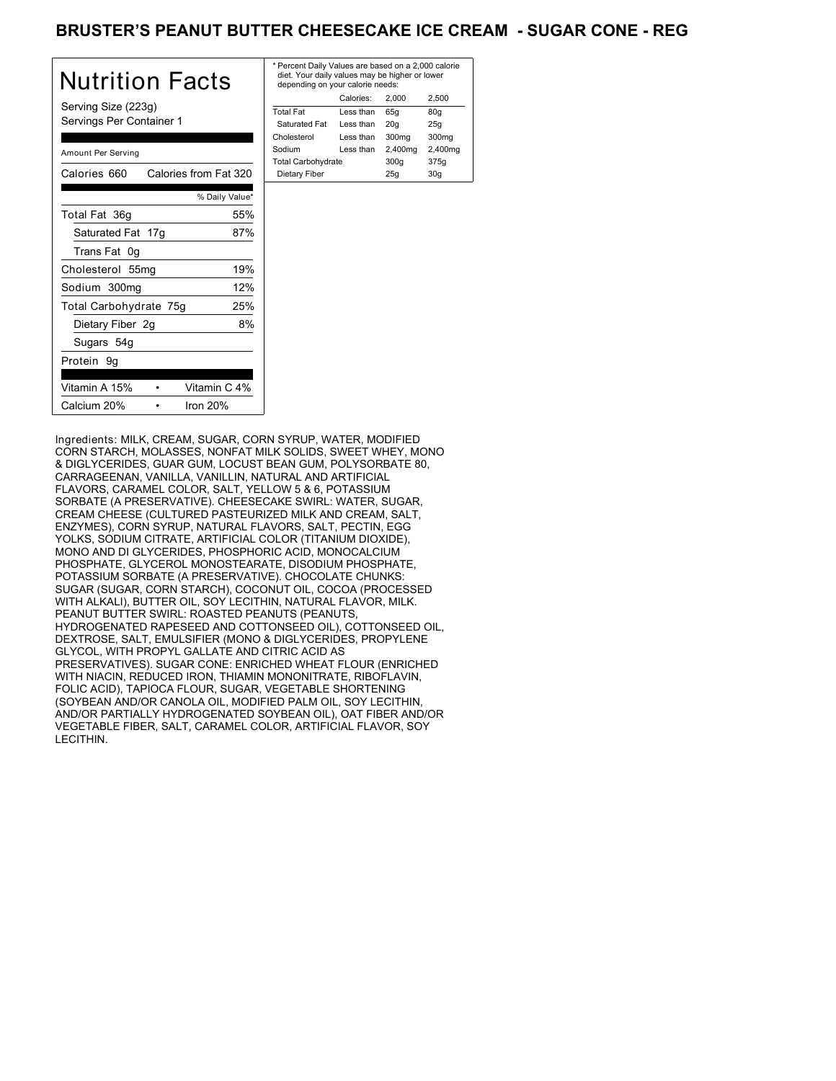## BRUSTER'S PEANUT BUTTER CHEESECAKE ICE CREAM - SUGAR CONE - REG

| Nutrition Facts                                 | * Pe<br>die<br>de |
|-------------------------------------------------|-------------------|
| Serving Size (223g)<br>Servings Per Container 1 | Tota<br>Sa<br>Cho |
| Amount Per Serving                              | Sod<br>Tota       |
| Calories 660 Calories from Fat 320              | Die               |
| % Daily Value*                                  |                   |
| Total Fat 36g<br>55%                            |                   |
| 87%<br>Saturated Fat 17g                        |                   |
| Trans Fat 0g                                    |                   |
| 19%<br>Cholesterol 55mg                         |                   |
| 12%<br>Sodium 300mg                             |                   |
| 25%<br>Total Carbohydrate 75g                   |                   |
| 8%<br>Dietary Fiber 2g                          |                   |
| Sugars 54g                                      |                   |
| Protein 9q                                      |                   |
| Vitamin A 15%<br>Vitamin C 4%                   |                   |
| Calcium 20%<br>Iron $20%$                       |                   |

| * Percent Daily Values are based on a 2,000 calorie<br>diet. Your daily values may be higher or lower<br>depending on your calorie needs: |           |         |         |
|-------------------------------------------------------------------------------------------------------------------------------------------|-----------|---------|---------|
|                                                                                                                                           | Calories: | 2.000   | 2.500   |
| <b>Total Fat</b>                                                                                                                          | Less than | 65q     | 80q     |
| Saturated Fat                                                                                                                             | Less than | 20q     | 25q     |
| Cholesterol                                                                                                                               | Less than | 300mg   | 300mg   |
| Sodium                                                                                                                                    | Less than | 2,400mg | 2,400mg |
| <b>Total Carbohydrate</b>                                                                                                                 |           | 300q    | 375g    |
| Dietary Fiber                                                                                                                             |           | 25q     | 30q     |
|                                                                                                                                           |           |         |         |

Ingredients: MILK, CREAM, SUGAR, CORN SYRUP, WATER, MODIFIED CORN STARCH, MOLASSES, NONFAT MILK SOLIDS, SWEET WHEY, MONO & DIGLYCERIDES, GUAR GUM, LOCUST BEAN GUM, POLYSORBATE 80, CARRAGEENAN, VANILLA, VANILLIN, NATURAL AND ARTIFICIAL FLAVORS, CARAMEL COLOR, SALT, YELLOW 5 & 6, POTASSIUM SORBATE (A PRESERVATIVE). CHEESECAKE SWIRL: WATER, SUGAR, CREAM CHEESE (CULTURED PASTEURIZED MILK AND CREAM, SALT, ENZYMES), CORN SYRUP, NATURAL FLAVORS, SALT, PECTIN, EGG YOLKS, SODIUM CITRATE, ARTIFICIAL COLOR (TITANIUM DIOXIDE), MONO AND DI GLYCERIDES, PHOSPHORIC ACID, MONOCALCIUM PHOSPHATE, GLYCEROL MONOSTEARATE, DISODIUM PHOSPHATE, POTASSIUM SORBATE (A PRESERVATIVE). CHOCOLATE CHUNKS: SUGAR (SUGAR, CORN STARCH), COCONUT OIL, COCOA (PROCESSED WITH ALKALI), BUTTER OIL, SOY LECITHIN, NATURAL FLAVOR, MILK. PEANUT BUTTER SWIRL: ROASTED PEANUTS (PEANUTS, HYDROGENATED RAPESEED AND COTTONSEED OIL), COTTONSEED OIL, DEXTROSE, SALT, EMULSIFIER (MONO & DIGLYCERIDES, PROPYLENE GLYCOL, WITH PROPYL GALLATE AND CITRIC ACID AS PRESERVATIVES). SUGAR CONE: ENRICHED WHEAT FLOUR (ENRICHED WITH NIACIN, REDUCED IRON, THIAMIN MONONITRATE, RIBOFLAVIN, FOLIC ACID), TAPIOCA FLOUR, SUGAR, VEGETABLE SHORTENING (SOYBEAN AND/OR CANOLA OIL, MODIFIED PALM OIL, SOY LECITHIN, AND/OR PARTIALLY HYDROGENATED SOYBEAN OIL), OAT FIBER AND/OR VEGETABLE FIBER, SALT, CARAMEL COLOR, ARTIFICIAL FLAVOR, SOY LECITHIN.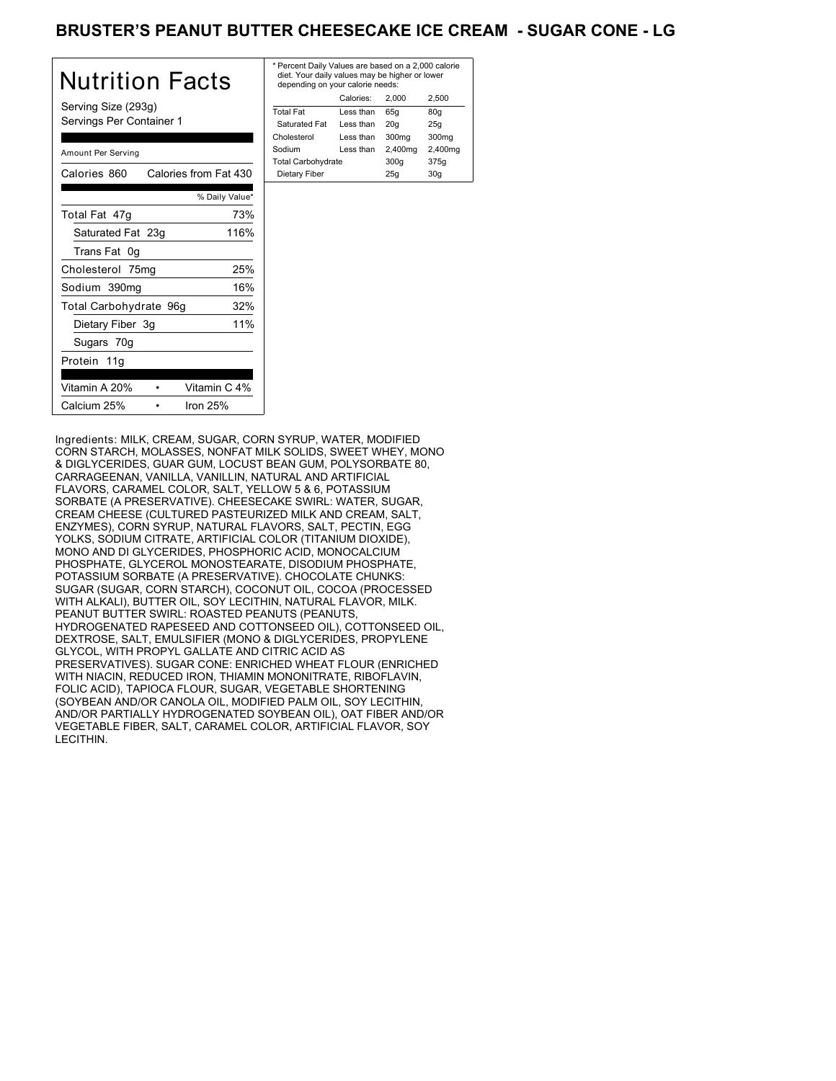## BRUSTER'S PEANUT BUTTER CHEESECAKE ICE CREAM - SUGAR CONE - LG

| Nutrition Facts                                 | $*$ Pe<br>di<br>de |
|-------------------------------------------------|--------------------|
| Serving Size (293g)<br>Servings Per Container 1 | Tot<br>Sa<br>Cho   |
| Amount Per Serving                              | Soc<br>Tot         |
| Calories from Fat 430<br>Calories 860           | Di                 |
| % Daily Value*                                  |                    |
| 73%<br>Total Fat 47g                            |                    |
| 116%<br>Saturated Fat 23g                       |                    |
| Trans Fat 0g                                    |                    |
| 25%<br>Cholesterol 75mg                         |                    |
| 16%<br>Sodium 390mg                             |                    |
| 32%<br>Total Carbohydrate 96g                   |                    |
| 11%<br>Dietary Fiber 3g                         |                    |
| Sugars 70g                                      |                    |
| Protein 11g                                     |                    |
| Vitamin A 20%<br>Vitamin C 4%                   |                    |
| Iron $25%$<br>Calcium 25%                       |                    |

| * Percent Daily Values are based on a 2,000 calorie<br>diet. Your daily values may be higher or lower<br>depending on your calorie needs: |  |                                                        |  |
|-------------------------------------------------------------------------------------------------------------------------------------------|--|--------------------------------------------------------|--|
| Calories:                                                                                                                                 |  | 2.500                                                  |  |
| Less than                                                                                                                                 |  | 80g                                                    |  |
| Less than                                                                                                                                 |  | 25q                                                    |  |
| Less than                                                                                                                                 |  | 300mg                                                  |  |
| Less than                                                                                                                                 |  | 2,400mg                                                |  |
| <b>Total Carbohydrate</b>                                                                                                                 |  | 375g                                                   |  |
|                                                                                                                                           |  | 30q                                                    |  |
|                                                                                                                                           |  | 2.000<br>65q<br>20q<br>300mg<br>2,400mg<br>300q<br>25q |  |

Ingredients: MILK, CREAM, SUGAR, CORN SYRUP, WATER, MODIFIED CORN STARCH, MOLASSES, NONFAT MILK SOLIDS, SWEET WHEY, MONO & DIGLYCERIDES, GUAR GUM, LOCUST BEAN GUM, POLYSORBATE 80, CARRAGEENAN, VANILLA, VANILLIN, NATURAL AND ARTIFICIAL FLAVORS, CARAMEL COLOR, SALT, YELLOW 5 & 6, POTASSIUM SORBATE (A PRESERVATIVE). CHEESECAKE SWIRL: WATER, SUGAR, CREAM CHEESE (CULTURED PASTEURIZED MILK AND CREAM, SALT, ENZYMES), CORN SYRUP, NATURAL FLAVORS, SALT, PECTIN, EGG YOLKS, SODIUM CITRATE, ARTIFICIAL COLOR (TITANIUM DIOXIDE), MONO AND DI GLYCERIDES, PHOSPHORIC ACID, MONOCALCIUM PHOSPHATE, GLYCEROL MONOSTEARATE, DISODIUM PHOSPHATE, POTASSIUM SORBATE (A PRESERVATIVE). CHOCOLATE CHUNKS: SUGAR (SUGAR, CORN STARCH), COCONUT OIL, COCOA (PROCESSED WITH ALKALI), BUTTER OIL, SOY LECITHIN, NATURAL FLAVOR, MILK. PEANUT BUTTER SWIRL: ROASTED PEANUTS (PEANUTS, HYDROGENATED RAPESEED AND COTTONSEED OIL), COTTONSEED OIL, DEXTROSE, SALT, EMULSIFIER (MONO & DIGLYCERIDES, PROPYLENE GLYCOL, WITH PROPYL GALLATE AND CITRIC ACID AS PRESERVATIVES). SUGAR CONE: ENRICHED WHEAT FLOUR (ENRICHED WITH NIACIN, REDUCED IRON, THIAMIN MONONITRATE, RIBOFLAVIN, FOLIC ACID), TAPIOCA FLOUR, SUGAR, VEGETABLE SHORTENING (SOYBEAN AND/OR CANOLA OIL, MODIFIED PALM OIL, SOY LECITHIN, AND/OR PARTIALLY HYDROGENATED SOYBEAN OIL), OAT FIBER AND/OR VEGETABLE FIBER, SALT, CARAMEL COLOR, ARTIFICIAL FLAVOR, SOY LECITHIN.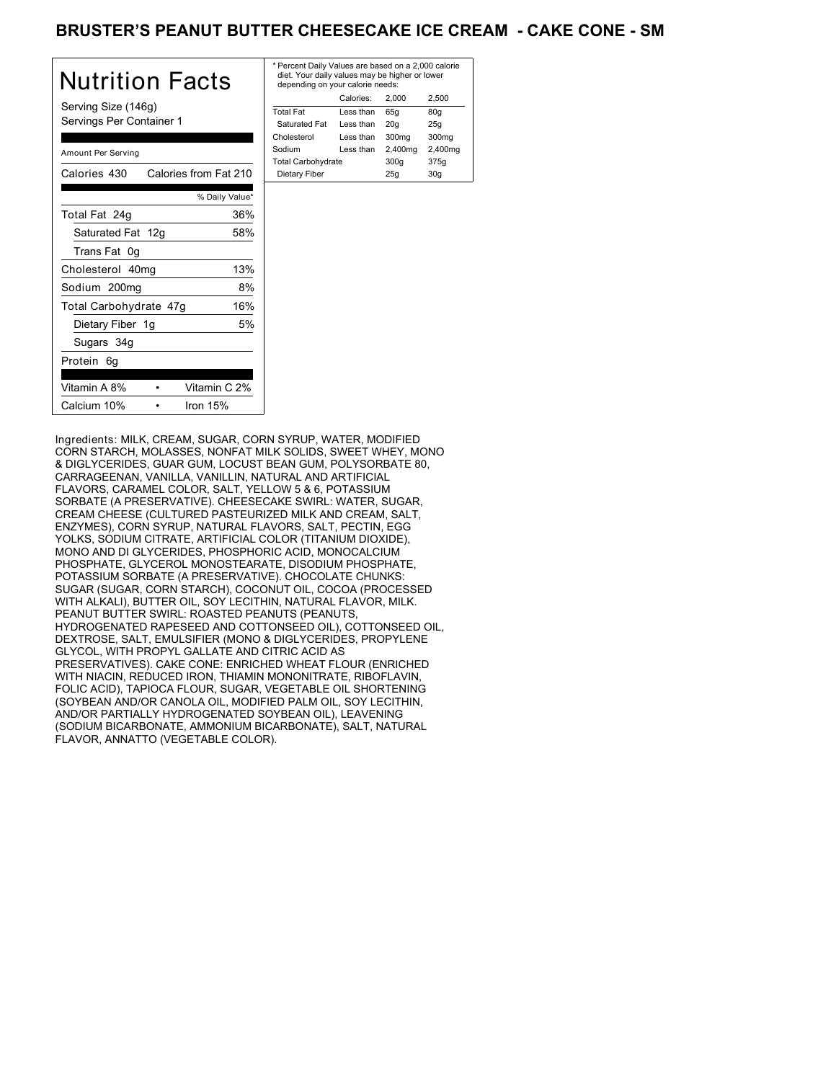## BRUSTER'S PEANUT BUTTER CHEESECAKE ICE CREAM - CAKE CONE - SM

| Nutrition Facts                                 | * Pe<br>die<br>de |
|-------------------------------------------------|-------------------|
| Serving Size (146g)<br>Servings Per Container 1 | Tota<br>Sa<br>Cho |
| Amount Per Serving                              | Sod<br>Tota       |
| Calories from Fat 210<br>Calories 430           | Die               |
| % Daily Value*                                  |                   |
| 36%<br>Total Fat 24g                            |                   |
| Saturated Fat 12g<br>58%                        |                   |
| Trans Fat 0g                                    |                   |
| 13%<br>Cholesterol 40mg                         |                   |
| Sodium 200mg<br>8%                              |                   |
| 16%<br>Total Carbohydrate 47g                   |                   |
| 5%<br>Dietary Fiber 1g                          |                   |
| Sugars 34g                                      |                   |
| Protein 6g                                      |                   |
| Vitamin A 8%<br>Vitamin C 2%                    |                   |
| Calcium 10%<br>Iron $15%$                       |                   |

| * Percent Daily Values are based on a 2,000 calorie<br>diet. Your daily values may be higher or lower<br>depending on your calorie needs: |           |         |         |
|-------------------------------------------------------------------------------------------------------------------------------------------|-----------|---------|---------|
|                                                                                                                                           | Calories: | 2.000   | 2.500   |
| <b>Total Fat</b>                                                                                                                          | Less than | 65q     | 80q     |
| Saturated Fat                                                                                                                             | Less than | 20q     | 25q     |
| Cholesterol                                                                                                                               | Less than | 300mg   | 300mg   |
| Sodium                                                                                                                                    | Less than | 2,400mg | 2,400mg |
| <b>Total Carbohydrate</b>                                                                                                                 |           | 300q    | 375g    |
| Dietary Fiber<br>25q<br>30q                                                                                                               |           |         |         |
|                                                                                                                                           |           |         |         |

Ingredients: MILK, CREAM, SUGAR, CORN SYRUP, WATER, MODIFIED CORN STARCH, MOLASSES, NONFAT MILK SOLIDS, SWEET WHEY, MONO & DIGLYCERIDES, GUAR GUM, LOCUST BEAN GUM, POLYSORBATE 80, CARRAGEENAN, VANILLA, VANILLIN, NATURAL AND ARTIFICIAL FLAVORS, CARAMEL COLOR, SALT, YELLOW 5 & 6, POTASSIUM SORBATE (A PRESERVATIVE). CHEESECAKE SWIRL: WATER, SUGAR, CREAM CHEESE (CULTURED PASTEURIZED MILK AND CREAM, SALT, ENZYMES), CORN SYRUP, NATURAL FLAVORS, SALT, PECTIN, EGG YOLKS, SODIUM CITRATE, ARTIFICIAL COLOR (TITANIUM DIOXIDE), MONO AND DI GLYCERIDES, PHOSPHORIC ACID, MONOCALCIUM PHOSPHATE, GLYCEROL MONOSTEARATE, DISODIUM PHOSPHATE, POTASSIUM SORBATE (A PRESERVATIVE). CHOCOLATE CHUNKS: SUGAR (SUGAR, CORN STARCH), COCONUT OIL, COCOA (PROCESSED WITH ALKALI), BUTTER OIL, SOY LECITHIN, NATURAL FLAVOR, MILK. PEANUT BUTTER SWIRL: ROASTED PEANUTS (PEANUTS, HYDROGENATED RAPESEED AND COTTONSEED OIL), COTTONSEED OIL, DEXTROSE, SALT, EMULSIFIER (MONO & DIGLYCERIDES, PROPYLENE GLYCOL, WITH PROPYL GALLATE AND CITRIC ACID AS PRESERVATIVES). CAKE CONE: ENRICHED WHEAT FLOUR (ENRICHED WITH NIACIN, REDUCED IRON, THIAMIN MONONITRATE, RIBOFLAVIN, FOLIC ACID), TAPIOCA FLOUR, SUGAR, VEGETABLE OIL SHORTENING (SOYBEAN AND/OR CANOLA OIL, MODIFIED PALM OIL, SOY LECITHIN, AND/OR PARTIALLY HYDROGENATED SOYBEAN OIL), LEAVENING (SODIUM BICARBONATE, AMMONIUM BICARBONATE), SALT, NATURAL FLAVOR, ANNATTO (VEGETABLE COLOR).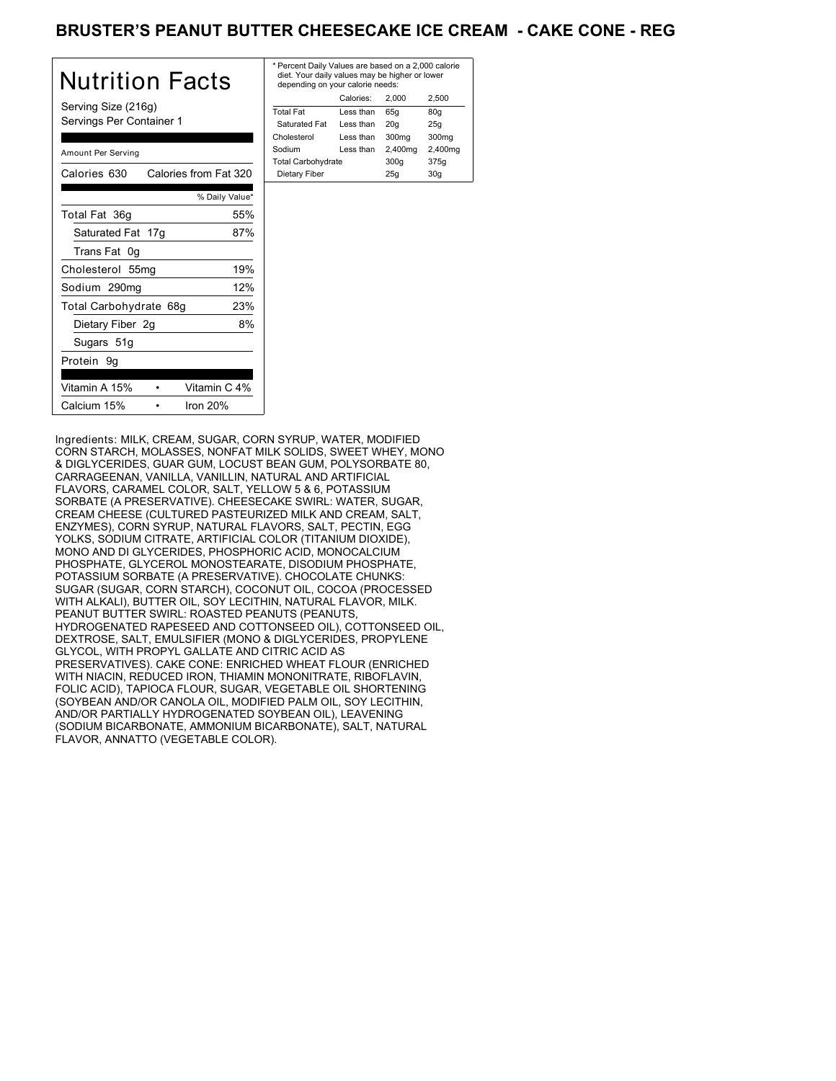## BRUSTER'S PEANUT BUTTER CHEESECAKE ICE CREAM - CAKE CONE - REG

| Nutrition Facts                                 | $*$ Pe<br>die<br>de |
|-------------------------------------------------|---------------------|
| Serving Size (216g)<br>Servings Per Container 1 | Tota<br>Sa<br>Chc   |
| Amount Per Serving                              | Sod<br>Tota         |
| Calories 630<br>Calories from Fat 320           | D <sub>i</sub>      |
| % Daily Value*                                  |                     |
| Total Fat 36g<br>55%                            |                     |
| 87%<br>Saturated Fat 17g                        |                     |
| Trans Fat 0g                                    |                     |
| 19%<br>Cholesterol 55mg                         |                     |
| 12%<br>Sodium 290mg                             |                     |
| Total Carbohydrate 68g<br>23%                   |                     |
| 8%<br>Dietary Fiber 2g                          |                     |
| Sugars 51g                                      |                     |
| Protein 9g                                      |                     |
| Vitamin A 15%<br>Vitamin C 4%                   |                     |
| Iron $20%$<br>Calcium 15%                       |                     |

| * Percent Daily Values are based on a 2,000 calorie<br>diet. Your daily values may be higher or lower<br>depending on your calorie needs: |           |         |         |
|-------------------------------------------------------------------------------------------------------------------------------------------|-----------|---------|---------|
|                                                                                                                                           | Calories: | 2.000   | 2.500   |
| <b>Total Fat</b>                                                                                                                          | Less than | 65q     | 80q     |
| Saturated Fat                                                                                                                             | Less than | 20q     | 25q     |
| Cholesterol                                                                                                                               | Less than | 300mg   | 300mg   |
| Sodium                                                                                                                                    | Less than | 2,400mg | 2,400mg |
| <b>Total Carbohydrate</b>                                                                                                                 |           | 300q    | 375g    |
| Dietary Fiber                                                                                                                             |           | 25q     | 30q     |
|                                                                                                                                           |           |         |         |

Ingredients: MILK, CREAM, SUGAR, CORN SYRUP, WATER, MODIFIED CORN STARCH, MOLASSES, NONFAT MILK SOLIDS, SWEET WHEY, MONO & DIGLYCERIDES, GUAR GUM, LOCUST BEAN GUM, POLYSORBATE 80, CARRAGEENAN, VANILLA, VANILLIN, NATURAL AND ARTIFICIAL FLAVORS, CARAMEL COLOR, SALT, YELLOW 5 & 6, POTASSIUM SORBATE (A PRESERVATIVE). CHEESECAKE SWIRL: WATER, SUGAR, CREAM CHEESE (CULTURED PASTEURIZED MILK AND CREAM, SALT, ENZYMES), CORN SYRUP, NATURAL FLAVORS, SALT, PECTIN, EGG YOLKS, SODIUM CITRATE, ARTIFICIAL COLOR (TITANIUM DIOXIDE), MONO AND DI GLYCERIDES, PHOSPHORIC ACID, MONOCALCIUM PHOSPHATE, GLYCEROL MONOSTEARATE, DISODIUM PHOSPHATE, POTASSIUM SORBATE (A PRESERVATIVE). CHOCOLATE CHUNKS: SUGAR (SUGAR, CORN STARCH), COCONUT OIL, COCOA (PROCESSED WITH ALKALI), BUTTER OIL, SOY LECITHIN, NATURAL FLAVOR, MILK. PEANUT BUTTER SWIRL: ROASTED PEANUTS (PEANUTS, HYDROGENATED RAPESEED AND COTTONSEED OIL), COTTONSEED OIL, DEXTROSE, SALT, EMULSIFIER (MONO & DIGLYCERIDES, PROPYLENE GLYCOL, WITH PROPYL GALLATE AND CITRIC ACID AS PRESERVATIVES). CAKE CONE: ENRICHED WHEAT FLOUR (ENRICHED WITH NIACIN, REDUCED IRON, THIAMIN MONONITRATE, RIBOFLAVIN, FOLIC ACID), TAPIOCA FLOUR, SUGAR, VEGETABLE OIL SHORTENING (SOYBEAN AND/OR CANOLA OIL, MODIFIED PALM OIL, SOY LECITHIN, AND/OR PARTIALLY HYDROGENATED SOYBEAN OIL), LEAVENING (SODIUM BICARBONATE, AMMONIUM BICARBONATE), SALT, NATURAL FLAVOR, ANNATTO (VEGETABLE COLOR).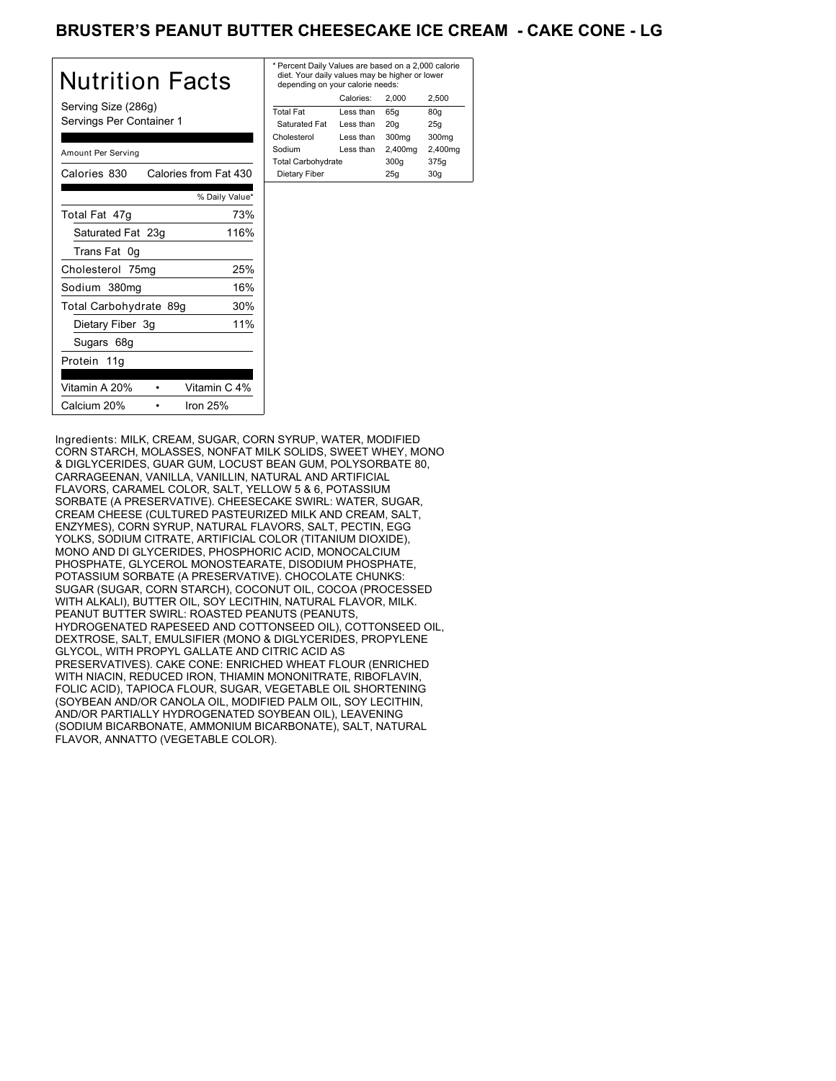## BRUSTER'S PEANUT BUTTER CHEESECAKE ICE CREAM - CAKE CONE - LG

| Nutrition Facts                                 | * P<br>di<br>d  |
|-------------------------------------------------|-----------------|
| Serving Size (286g)<br>Servings Per Container 1 | Tot<br>S.<br>Ch |
| Amount Per Serving                              | So<br>Tot       |
| Calories from Fat 430<br>Calories 830           | D               |
| % Daily Value*                                  |                 |
| 73%<br>Total Fat 47g                            |                 |
| Saturated Fat 23g<br>116%                       |                 |
| Trans Fat 0g                                    |                 |
| 25%<br>Cholesterol 75mg                         |                 |
| 16%<br>Sodium 380mg                             |                 |
| 30%<br>Total Carbohydrate 89g                   |                 |
| 11%<br>Dietary Fiber 3g                         |                 |
| Sugars 68g                                      |                 |
| Protein 11g                                     |                 |
| Vitamin A 20%<br>Vitamin C 4%                   |                 |
| Iron $25%$<br>Calcium 20%                       |                 |

| * Percent Daily Values are based on a 2,000 calorie<br>diet. Your daily values may be higher or lower<br>depending on your calorie needs: |           |         |         |
|-------------------------------------------------------------------------------------------------------------------------------------------|-----------|---------|---------|
|                                                                                                                                           | Calories: | 2.000   | 2.500   |
| <b>Total Fat</b>                                                                                                                          | Less than | 65q     | 80q     |
| Saturated Fat                                                                                                                             | Less than | 20q     | 25q     |
| Cholesterol                                                                                                                               | Less than | 300mg   | 300mg   |
| Sodium                                                                                                                                    | Less than | 2,400mg | 2,400mg |
| <b>Total Carbohydrate</b>                                                                                                                 |           | 300q    | 375g    |
| Dietary Fiber<br>25q<br>30q                                                                                                               |           |         |         |
|                                                                                                                                           |           |         |         |

Ingredients: MILK, CREAM, SUGAR, CORN SYRUP, WATER, MODIFIED CORN STARCH, MOLASSES, NONFAT MILK SOLIDS, SWEET WHEY, MONO & DIGLYCERIDES, GUAR GUM, LOCUST BEAN GUM, POLYSORBATE 80, CARRAGEENAN, VANILLA, VANILLIN, NATURAL AND ARTIFICIAL FLAVORS, CARAMEL COLOR, SALT, YELLOW 5 & 6, POTASSIUM SORBATE (A PRESERVATIVE). CHEESECAKE SWIRL: WATER, SUGAR, CREAM CHEESE (CULTURED PASTEURIZED MILK AND CREAM, SALT, ENZYMES), CORN SYRUP, NATURAL FLAVORS, SALT, PECTIN, EGG YOLKS, SODIUM CITRATE, ARTIFICIAL COLOR (TITANIUM DIOXIDE), MONO AND DI GLYCERIDES, PHOSPHORIC ACID, MONOCALCIUM PHOSPHATE, GLYCEROL MONOSTEARATE, DISODIUM PHOSPHATE, POTASSIUM SORBATE (A PRESERVATIVE). CHOCOLATE CHUNKS: SUGAR (SUGAR, CORN STARCH), COCONUT OIL, COCOA (PROCESSED WITH ALKALI), BUTTER OIL, SOY LECITHIN, NATURAL FLAVOR, MILK. PEANUT BUTTER SWIRL: ROASTED PEANUTS (PEANUTS, HYDROGENATED RAPESEED AND COTTONSEED OIL), COTTONSEED OIL, DEXTROSE, SALT, EMULSIFIER (MONO & DIGLYCERIDES, PROPYLENE GLYCOL, WITH PROPYL GALLATE AND CITRIC ACID AS PRESERVATIVES). CAKE CONE: ENRICHED WHEAT FLOUR (ENRICHED WITH NIACIN, REDUCED IRON, THIAMIN MONONITRATE, RIBOFLAVIN, FOLIC ACID), TAPIOCA FLOUR, SUGAR, VEGETABLE OIL SHORTENING (SOYBEAN AND/OR CANOLA OIL, MODIFIED PALM OIL, SOY LECITHIN, AND/OR PARTIALLY HYDROGENATED SOYBEAN OIL), LEAVENING (SODIUM BICARBONATE, AMMONIUM BICARBONATE), SALT, NATURAL FLAVOR, ANNATTO (VEGETABLE COLOR).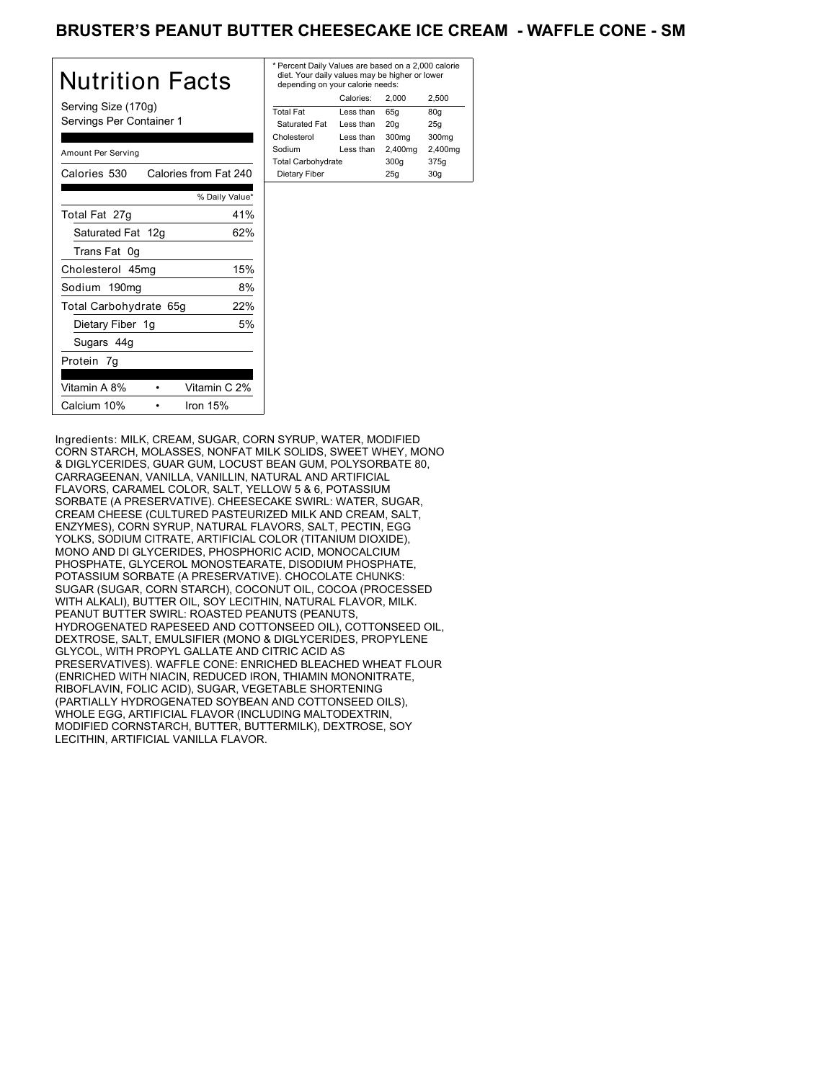## BRUSTER'S PEANUT BUTTER CHEESECAKE ICE CREAM - WAFFLE CONE - SM

| Nutrition Facts                                 | * Per<br>diet<br>dep |
|-------------------------------------------------|----------------------|
| Serving Size (170g)<br>Servings Per Container 1 | Total                |
|                                                 | Satı<br>Chok         |
|                                                 | Sodi                 |
| Amount Per Serving                              | Total                |
| Calories 530<br>Calories from Fat 240           | Diet                 |
| % Daily Value*                                  |                      |
| Total Fat 27g<br>41%                            |                      |
| 62%<br>Saturated Fat 12g                        |                      |
| Trans Fat 0g                                    |                      |
| 15%<br>Cholesterol 45mg                         |                      |
| 8%<br>Sodium 190mg                              |                      |
| 22%<br>Total Carbohydrate 65g                   |                      |
| 5%<br>Dietary Fiber 1g                          |                      |
| Sugars 44g                                      |                      |
| Protein 7g                                      |                      |
| Vitamin A 8%<br>Vitamin C 2%                    |                      |
| Calcium 10%<br>Iron 15%                         |                      |

| * Percent Daily Values are based on a 2,000 calorie<br>diet. Your daily values may be higher or lower<br>depending on your calorie needs: |         |         |  |
|-------------------------------------------------------------------------------------------------------------------------------------------|---------|---------|--|
| Calories:                                                                                                                                 | 2.000   | 2.500   |  |
| Less than                                                                                                                                 | 65q     | 80q     |  |
| Less than                                                                                                                                 | 20q     | 25q     |  |
| Less than                                                                                                                                 | 300mg   | 300mg   |  |
| Less than                                                                                                                                 | 2,400mg | 2,400mg |  |
| <b>Total Carbohydrate</b>                                                                                                                 |         | 375g    |  |
| Dietary Fiber<br>30q<br>25q                                                                                                               |         |         |  |
|                                                                                                                                           |         | 300q    |  |

Ingredients: MILK, CREAM, SUGAR, CORN SYRUP, WATER, MODIFIED CORN STARCH, MOLASSES, NONFAT MILK SOLIDS, SWEET WHEY, MONO & DIGLYCERIDES, GUAR GUM, LOCUST BEAN GUM, POLYSORBATE 80, CARRAGEENAN, VANILLA, VANILLIN, NATURAL AND ARTIFICIAL FLAVORS, CARAMEL COLOR, SALT, YELLOW 5 & 6, POTASSIUM SORBATE (A PRESERVATIVE). CHEESECAKE SWIRL: WATER, SUGAR, CREAM CHEESE (CULTURED PASTEURIZED MILK AND CREAM, SALT, ENZYMES), CORN SYRUP, NATURAL FLAVORS, SALT, PECTIN, EGG YOLKS, SODIUM CITRATE, ARTIFICIAL COLOR (TITANIUM DIOXIDE), MONO AND DI GLYCERIDES, PHOSPHORIC ACID, MONOCALCIUM PHOSPHATE, GLYCEROL MONOSTEARATE, DISODIUM PHOSPHATE, POTASSIUM SORBATE (A PRESERVATIVE). CHOCOLATE CHUNKS: SUGAR (SUGAR, CORN STARCH), COCONUT OIL, COCOA (PROCESSED WITH ALKALI), BUTTER OIL, SOY LECITHIN, NATURAL FLAVOR, MILK. PEANUT BUTTER SWIRL: ROASTED PEANUTS (PEANUTS, HYDROGENATED RAPESEED AND COTTONSEED OIL), COTTONSEED OIL, DEXTROSE, SALT, EMULSIFIER (MONO & DIGLYCERIDES, PROPYLENE GLYCOL, WITH PROPYL GALLATE AND CITRIC ACID AS PRESERVATIVES). WAFFLE CONE: ENRICHED BLEACHED WHEAT FLOUR (ENRICHED WITH NIACIN, REDUCED IRON, THIAMIN MONONITRATE, RIBOFLAVIN, FOLIC ACID), SUGAR, VEGETABLE SHORTENING (PARTIALLY HYDROGENATED SOYBEAN AND COTTONSEED OILS), WHOLE EGG, ARTIFICIAL FLAVOR (INCLUDING MALTODEXTRIN, MODIFIED CORNSTARCH, BUTTER, BUTTERMILK), DEXTROSE, SOY LECITHIN, ARTIFICIAL VANILLA FLAVOR.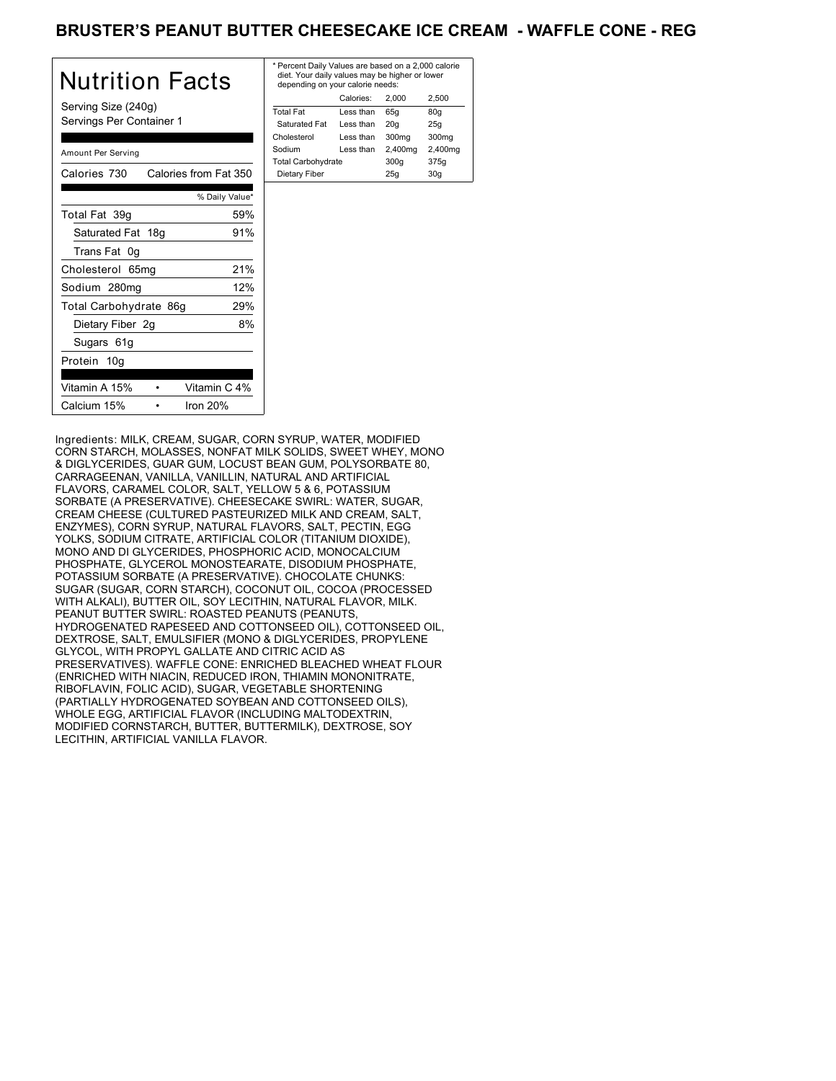## BRUSTER'S PEANUT BUTTER CHEESECAKE ICE CREAM - WAFFLE CONE - REG

| Nutrition Facts                                 | $*$ Pe<br>die<br>de |
|-------------------------------------------------|---------------------|
| Serving Size (240g)<br>Servings Per Container 1 | Tota<br>Sa<br>Cho   |
| Amount Per Serving                              | Soc<br>Tota         |
| Calories from Fat 350<br>Calories 730           | Di                  |
| % Daily Value*                                  |                     |
| 59%<br>Total Fat 39g                            |                     |
| 91%<br>Saturated Fat 18g                        |                     |
| Trans Fat 0g                                    |                     |
| 21%<br>Cholesterol 65mg                         |                     |
| 12%<br>Sodium 280mg                             |                     |
| 29%<br>Total Carbohydrate 86g                   |                     |
| Dietary Fiber 2g<br>8%                          |                     |
| Sugars 61g                                      |                     |
| Protein 10g                                     |                     |
| Vitamin A 15%<br>Vitamin C 4%                   |                     |
| Calcium 15%<br>Iron $20%$                       |                     |

| * Percent Daily Values are based on a 2,000 calorie<br>diet. Your daily values may be higher or lower<br>depending on your calorie needs: |           |         |         |
|-------------------------------------------------------------------------------------------------------------------------------------------|-----------|---------|---------|
|                                                                                                                                           | Calories: | 2.000   | 2.500   |
| <b>Total Fat</b>                                                                                                                          | Less than | 65q     | 80q     |
| Saturated Fat                                                                                                                             | Less than | 20q     | 25q     |
| Cholesterol                                                                                                                               | Less than | 300mg   | 300mg   |
| Sodium                                                                                                                                    | Less than | 2,400mg | 2,400mg |
| <b>Total Carbohydrate</b>                                                                                                                 |           | 300q    | 375g    |
| Dietary Fiber<br>25q<br>30q                                                                                                               |           |         |         |

Ingredients: MILK, CREAM, SUGAR, CORN SYRUP, WATER, MODIFIED CORN STARCH, MOLASSES, NONFAT MILK SOLIDS, SWEET WHEY, MONO & DIGLYCERIDES, GUAR GUM, LOCUST BEAN GUM, POLYSORBATE 80, CARRAGEENAN, VANILLA, VANILLIN, NATURAL AND ARTIFICIAL FLAVORS, CARAMEL COLOR, SALT, YELLOW 5 & 6, POTASSIUM SORBATE (A PRESERVATIVE). CHEESECAKE SWIRL: WATER, SUGAR, CREAM CHEESE (CULTURED PASTEURIZED MILK AND CREAM, SALT, ENZYMES), CORN SYRUP, NATURAL FLAVORS, SALT, PECTIN, EGG YOLKS, SODIUM CITRATE, ARTIFICIAL COLOR (TITANIUM DIOXIDE), MONO AND DI GLYCERIDES, PHOSPHORIC ACID, MONOCALCIUM PHOSPHATE, GLYCEROL MONOSTEARATE, DISODIUM PHOSPHATE, POTASSIUM SORBATE (A PRESERVATIVE). CHOCOLATE CHUNKS: SUGAR (SUGAR, CORN STARCH), COCONUT OIL, COCOA (PROCESSED WITH ALKALI), BUTTER OIL, SOY LECITHIN, NATURAL FLAVOR, MILK. PEANUT BUTTER SWIRL: ROASTED PEANUTS (PEANUTS, HYDROGENATED RAPESEED AND COTTONSEED OIL), COTTONSEED OIL, DEXTROSE, SALT, EMULSIFIER (MONO & DIGLYCERIDES, PROPYLENE GLYCOL, WITH PROPYL GALLATE AND CITRIC ACID AS PRESERVATIVES). WAFFLE CONE: ENRICHED BLEACHED WHEAT FLOUR (ENRICHED WITH NIACIN, REDUCED IRON, THIAMIN MONONITRATE, RIBOFLAVIN, FOLIC ACID), SUGAR, VEGETABLE SHORTENING (PARTIALLY HYDROGENATED SOYBEAN AND COTTONSEED OILS), WHOLE EGG, ARTIFICIAL FLAVOR (INCLUDING MALTODEXTRIN, MODIFIED CORNSTARCH, BUTTER, BUTTERMILK), DEXTROSE, SOY LECITHIN, ARTIFICIAL VANILLA FLAVOR.